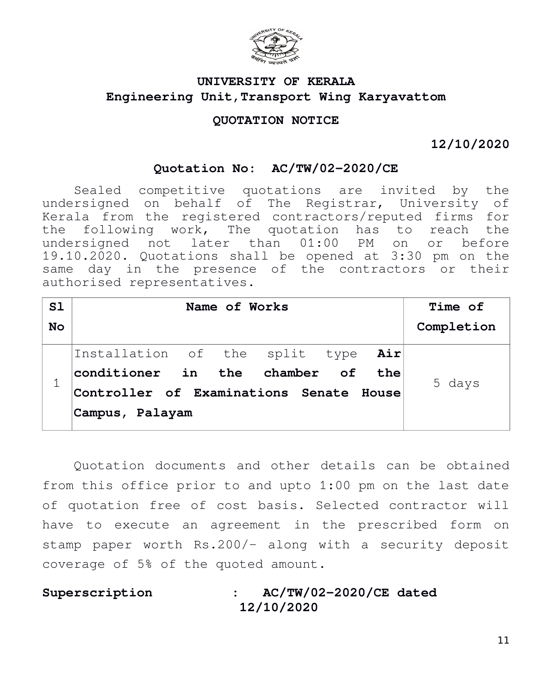

# **UNIVERSITY OF KERALA Engineering Unit,Transport Wing Karyavattom**

# **QUOTATION NOTICE**

**12/10/2020**

## **Quotation No: AC/TW/02-2020/CE**

Sealed competitive quotations are invited by the undersigned on behalf of The Registrar, University of Kerala from the registered contractors/reputed firms for the following work, The quotation has to reach the undersigned not later than 01:00 PM on or before 19.10.2020. Quotations shall be opened at 3:30 pm on the same day in the presence of the contractors or their authorised representatives.

| Name of Works |  |                 |  |  | Time of |                                                                                                                    |
|---------------|--|-----------------|--|--|---------|--------------------------------------------------------------------------------------------------------------------|
|               |  |                 |  |  |         | Completion                                                                                                         |
|               |  |                 |  |  |         |                                                                                                                    |
|               |  |                 |  |  |         | 5 days                                                                                                             |
|               |  |                 |  |  |         |                                                                                                                    |
|               |  |                 |  |  |         |                                                                                                                    |
|               |  | Campus, Palayam |  |  |         | Installation of the split type Air<br>conditioner in the chamber of the<br>Controller of Examinations Senate House |

Quotation documents and other details can be obtained from this office prior to and upto 1:00 pm on the last date of quotation free of cost basis. Selected contractor will have to execute an agreement in the prescribed form on stamp paper worth Rs.200/- along with a security deposit coverage of 5% of the quoted amount.

**Superscription : AC/TW/02-2020/CE dated 12/10/2020**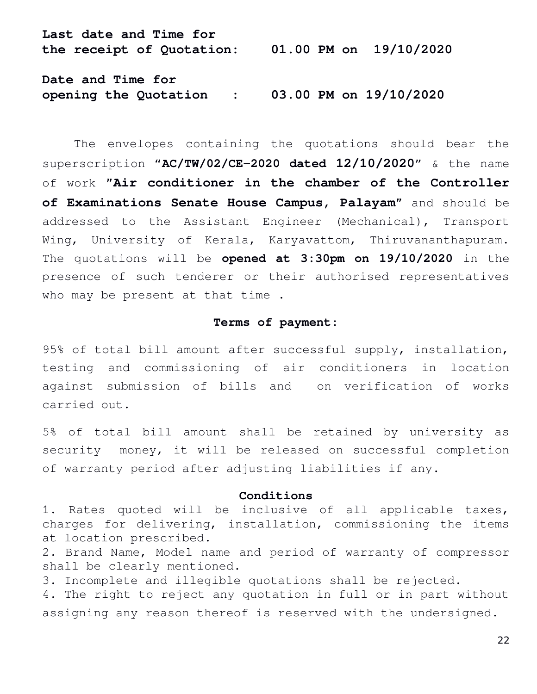**Last date and Time for the receipt of Quotation: 01.00 PM on 19/10/2020 Date and Time for** 

**opening the Quotation : 03.00 PM on 19/10/2020**

The envelopes containing the quotations should bear the superscription "**AC/TW/02/CE-2020 dated 12/10/2020**" & the name of work **"Air conditioner in the chamber of the Controller of Examinations Senate House Campus, Palayam"** and should be addressed to the Assistant Engineer (Mechanical), Transport Wing, University of Kerala, Karyavattom, Thiruvananthapuram. The quotations will be **opened at 3:30pm on 19/10/2020** in the presence of such tenderer or their authorised representatives who may be present at that time .

### **Terms of payment:**

95% of total bill amount after successful supply, installation, testing and commissioning of air conditioners in location against submission of bills and on verification of works carried out.

5% of total bill amount shall be retained by university as security money, it will be released on successful completion of warranty period after adjusting liabilities if any.

#### **Conditions**

1. Rates quoted will be inclusive of all applicable taxes, charges for delivering, installation, commissioning the items at location prescribed.

2. Brand Name, Model name and period of warranty of compressor shall be clearly mentioned.

3. Incomplete and illegible quotations shall be rejected.

4. The right to reject any quotation in full or in part without assigning any reason thereof is reserved with the undersigned.